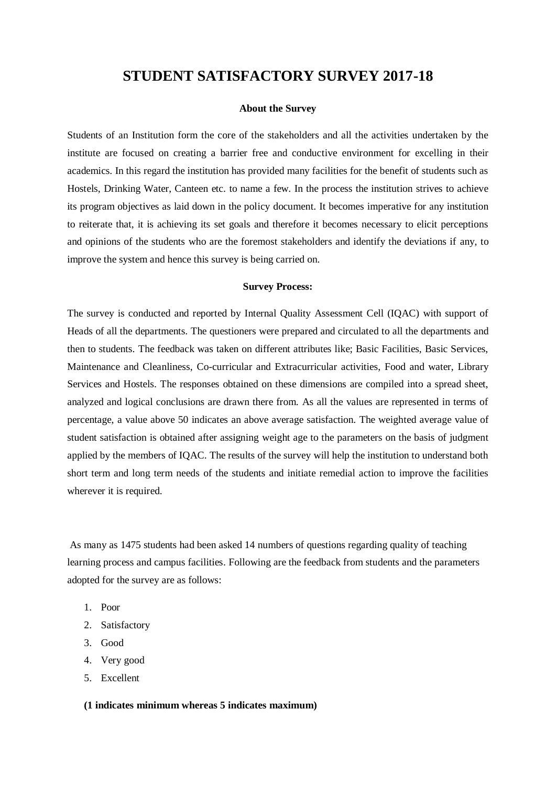## **STUDENT SATISFACTORY SURVEY 2017-18**

## **About the Survey**

Students of an Institution form the core of the stakeholders and all the activities undertaken by the institute are focused on creating a barrier free and conductive environment for excelling in their academics. In this regard the institution has provided many facilities for the benefit of students such as Hostels, Drinking Water, Canteen etc. to name a few. In the process the institution strives to achieve its program objectives as laid down in the policy document. It becomes imperative for any institution to reiterate that, it is achieving its set goals and therefore it becomes necessary to elicit perceptions and opinions of the students who are the foremost stakeholders and identify the deviations if any, to improve the system and hence this survey is being carried on.

## **Survey Process:**

The survey is conducted and reported by Internal Quality Assessment Cell (IQAC) with support of Heads of all the departments. The questioners were prepared and circulated to all the departments and then to students. The feedback was taken on different attributes like; Basic Facilities, Basic Services, Maintenance and Cleanliness, Co-curricular and Extracurricular activities, Food and water, Library Services and Hostels. The responses obtained on these dimensions are compiled into a spread sheet, analyzed and logical conclusions are drawn there from. As all the values are represented in terms of percentage, a value above 50 indicates an above average satisfaction. The weighted average value of student satisfaction is obtained after assigning weight age to the parameters on the basis of judgment applied by the members of IQAC. The results of the survey will help the institution to understand both short term and long term needs of the students and initiate remedial action to improve the facilities wherever it is required.

As many as 1475 students had been asked 14 numbers of questions regarding quality of teaching learning process and campus facilities. Following are the feedback from students and the parameters adopted for the survey are as follows:

- 1. Poor
- 2. Satisfactory
- 3. Good
- 4. Very good
- 5. Excellent

## **(1 indicates minimum whereas 5 indicates maximum)**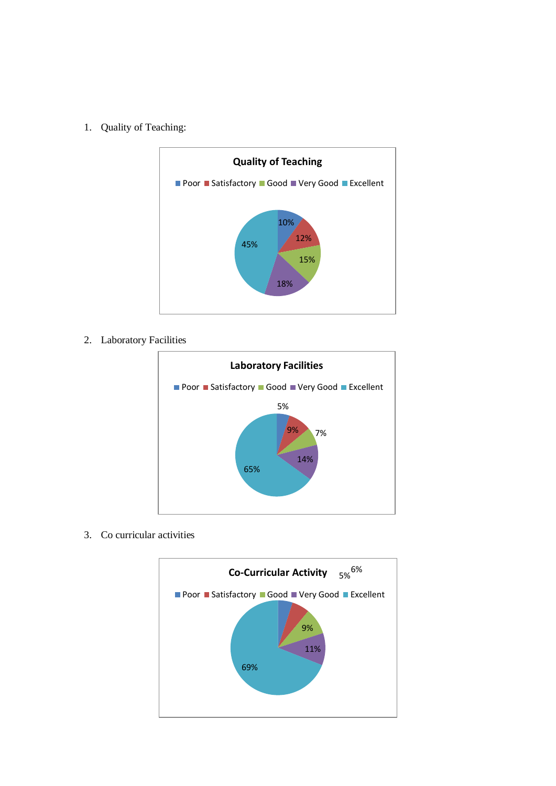1. Quality of Teaching:



2. Laboratory Facilities



3. Co curricular activities

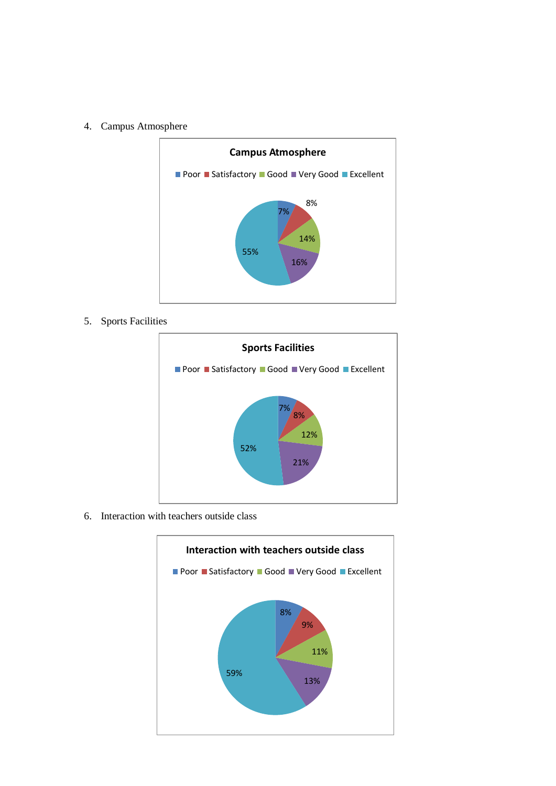4. Campus Atmosphere



5. Sports Facilities



6. Interaction with teachers outside class

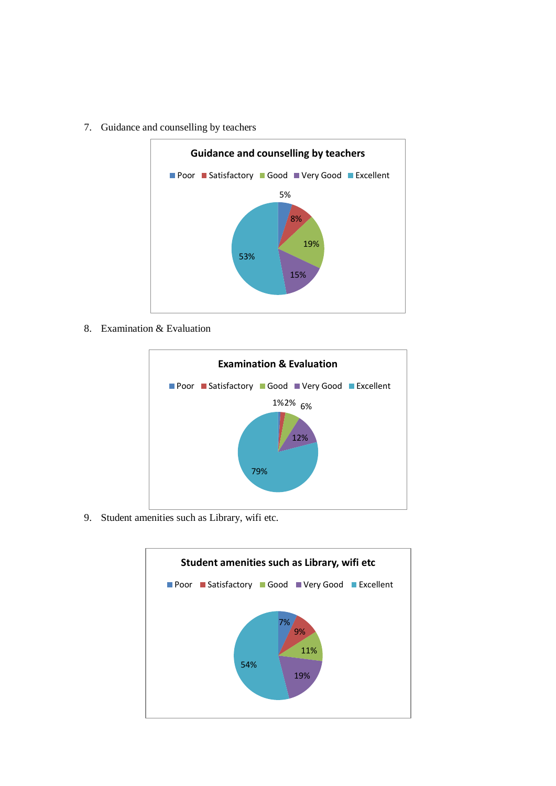

7. Guidance and counselling by teachers

8. Examination & Evaluation



9. Student amenities such as Library, wifi etc.

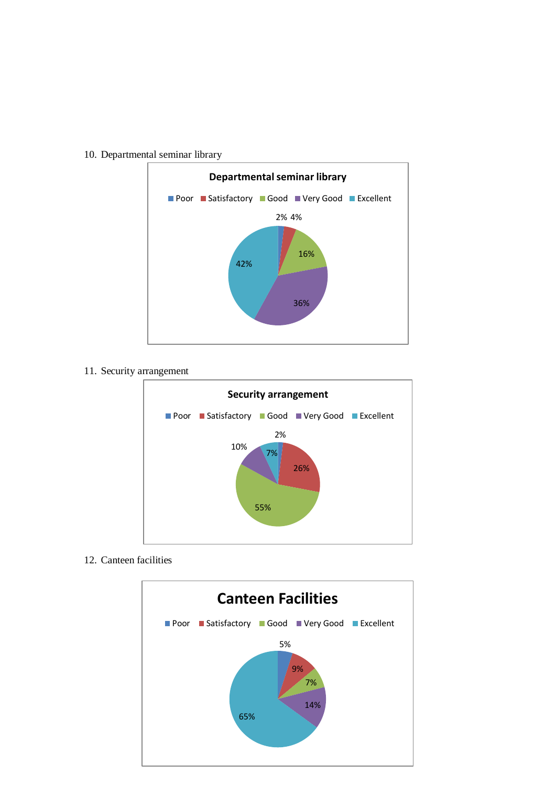

10. Departmental seminar library

11. Security arrangement



12. Canteen facilities